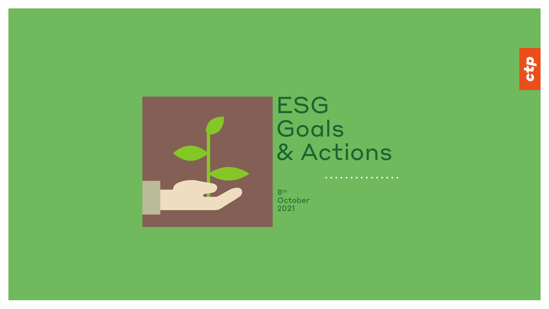

# ESG Goals & Actions

. . . . . . . . . . . . . . .

8th **October** 2021

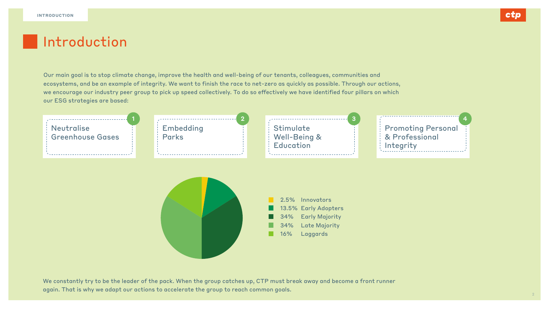Our main goal is to stop climate change, improve the health and well-being of our tenants, colleagues, communities and ecosystems, and be an example of integrity. We want to finish the race to net-zero as quickly as possible. Through our actions, we encourage our industry peer group to pick up speed collectively. To do so effectively we have identified four pillars on which our ESG strategies are based:

> **Stimulate** Well-Being & Education

We constantly try to be the leader of the pack. When the group catches up, CTP must break away and become a front runner again. That is why we adapt our actions to accelerate the group to reach common goals.





Promoting Personal & Professional Integrity

2.5% Innovators 13.5% Early Adopters 34% Early Majority 34% Late Majority 16% Laggards



## | Introduction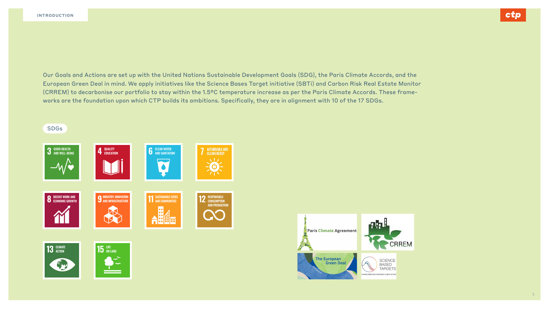Our Goals and Actions are set up with the United Nations Sustainable Development Goals (SDG), the Paris Climate Accords, and the European Green Deal in mind. We apply initiatives like the Science Bases Target initiative (SBTi) and Carbon Risk Real Estate Monitor (CRREM) to decarbonise our portfolio to stay within the 1.5ºC temperature increase as per the Paris Climate Accords. These frameworks are the foundation upon which CTP builds its ambitions. Specifically, they are in alignment with 10 of the 17 SDGs.





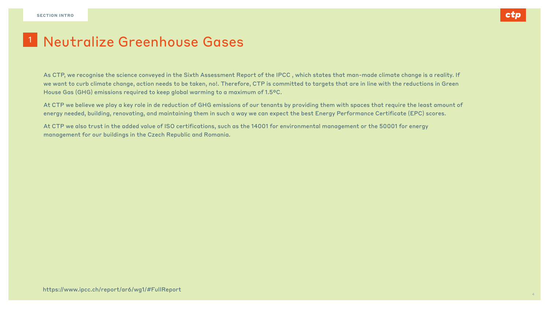As CTP, we recognise the science conveyed in the Sixth Assessment Report of the IPCC , which states that man-made climate change is a reality. If we want to curb climate change, action needs to be taken, no!. Therefore, CTP is committed to targets that are in line with the reductions in Green House Gas (GHG) emissions required to keep global warming to a maximum of 1.5ºC.

## Neutralize Greenhouse Gases 1

At CTP we believe we play a key role in de reduction of GHG emissions of our tenants by providing them with spaces that require the least amount of energy needed, building, renovating, and maintaining them in such a way we can expect the best Energy Performance Certificate (EPC) scores.

At CTP we also trust in the added value of ISO certifications, such as the 14001 for environmental management or the 50001 for energy management for our buildings in the Czech Republic and Romania.

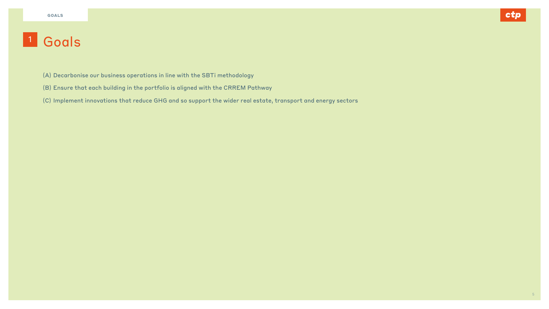- (A) Decarbonise our business operations in line with the SBTi methodology
- (B) Ensure that each building in the portfolio is aligned with the CRREM Pathway
- (C) Implement innovations that reduce GHG and so support the wider real estate, transport and energy sectors



5

# 1 Goals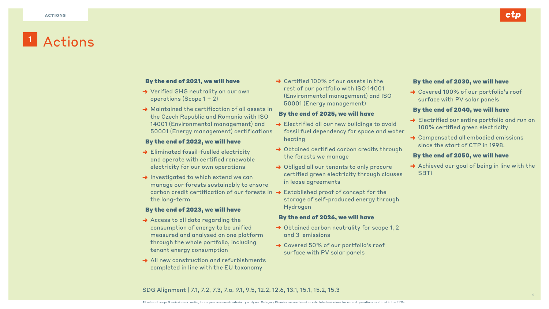### By the end of 2021, we will have

- **→** Verified GHG neutrality on our own operations (Scope 1 + 2)
- $\rightarrow$  Maintained the certification of all assets the Czech Republic and Romania with I 14001 (Environmental management) ar 50001 (Energy management) certificat

- → Eliminated fossil-fuelled electricity and operate with certified renewable electricity for our own operations
- → Investigated to which extend we can manage our forests sustainably to ensure carbon credit certification of our fores the long-term

### By the end of 2022, we will have

### By the end of 2023, we will have

- **→** Access to all data regarding the consumption of energy to be unified measured and analysed on one platform through the whole portfolio, including tenant energy consumption
- → All new construction and refurbishment completed in line with the EU taxonomy

### SDG Alignment | 7.1, 7.2, 7.3, 7.a, 9.1, 9.5, 12.2, 12.6, 13.1, 15.1, 15.2, 15.3

| ts in<br><b>SO</b><br>าd<br>tions | $\rightarrow$ Certified 100% of our assets in the<br>rest of our portfolio with ISO 14001<br>(Environmental management) and ISO<br>50001 (Energy management)<br>By the end of 2025, we will have<br>Electrified all our new buildings to avoid<br>fossil fuel dependency for space and water<br>heating | By the end of 2030, we will have<br>→ Covered 100% of our portfolio's<br>surface with PV solar panels<br>By the end of 2040, we will have<br>> Electrified our entire portfolio ar<br>100% certified green electricity<br>→ Compensated all embodied emiss<br>since the start of CTP in 1998. |
|-----------------------------------|---------------------------------------------------------------------------------------------------------------------------------------------------------------------------------------------------------------------------------------------------------------------------------------------------------|-----------------------------------------------------------------------------------------------------------------------------------------------------------------------------------------------------------------------------------------------------------------------------------------------|
|                                   | → Obtained certified carbon credits through<br>the forests we manage                                                                                                                                                                                                                                    | By the end of 2050, we will have                                                                                                                                                                                                                                                              |
| ure                               | > Obliged all our tenants to only procure<br>certified green electricity through clauses<br>in lease agreements                                                                                                                                                                                         | Achieved our goal of being in line<br><b>SBTi</b>                                                                                                                                                                                                                                             |
|                                   | $\mathsf{a}$ in $\rightarrow$ Established proof of concept for the<br>storage of self-produced energy through<br>Hydrogen                                                                                                                                                                               |                                                                                                                                                                                                                                                                                               |
|                                   | By the end of 2026, we will have                                                                                                                                                                                                                                                                        |                                                                                                                                                                                                                                                                                               |
| ႟                                 | $\rightarrow$ Obtained carbon neutrality for scope 1, 2<br>and 3 emissions                                                                                                                                                                                                                              |                                                                                                                                                                                                                                                                                               |
| ıts<br>V                          | $\rightarrow$ Covered 50% of our portfolio's roof<br>surface with PV solar panels                                                                                                                                                                                                                       |                                                                                                                                                                                                                                                                                               |



's roof



### ne with the

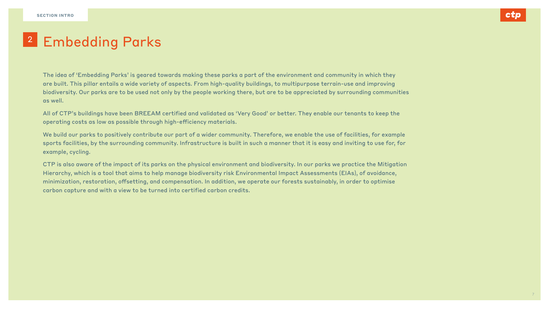The idea of 'Embedding Parks' is geared towards making these parks a part of the environment and community in which they are built. This pillar entails a wide variety of aspects. From high-quality buildings, to multipurpose terrain-use and improving biodiversity. Our parks are to be used not only by the people working there, but are to be appreciated by surrounding communities as well.

All of CTP's buildings have been BREEAM certified and validated as 'Very Good' or better. They enable our tenants to keep the operating costs as low as possible through high-efficiency materials.

We build our parks to positively contribute our part of a wider community. Therefore, we enable the use of facilities, for example sports facilities, by the surrounding community. Infrastructure is built in such a manner that it is easy and inviting to use for, for example, cycling.

CTP is also aware of the impact of its parks on the physical environment and biodiversity. In our parks we practice the Mitigation Hierarchy, which is a tool that aims to help manage biodiversity risk Environmental Impact Assessments (EIAs), of avoidance, minimization, restoration, offsetting, and compensation. In addition, we operate our forests sustainably, in order to optimise carbon capture and with a view to be turned into certified carbon credits.



7

## 2 Embedding Parks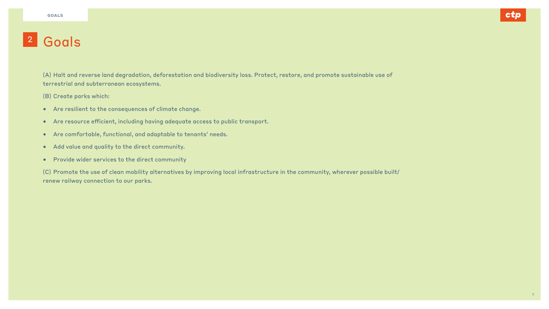(A) Halt and reverse land degradation, deforestation and biodiversity loss. Protect, restore, and promote sustainable use of terrestrial and subterranean ecosystems.

(B) Create parks which:

- Are resilient to the consequences of climate change.
- Are resource efficient, including having adequate access to public transport.
- Are comfortable, functional, and adaptable to tenants' needs.
- Add value and quality to the direct community.
- Provide wider services to the direct community

(C) Promote the use of clean mobility alternatives by improving local infrastructure in the community, wherever possible built/ renew railway connection to our parks.



## <sup>2</sup> Goals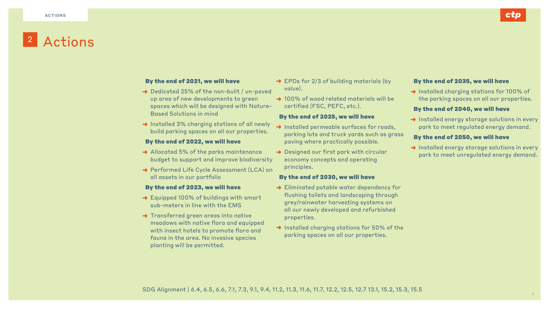### By the end of 2021, we will have

- → Dedicated 25% of the non-built / un-paved up area of new developments to green spaces which will be designed with Nature-Based Solutions in mind **→ 100% of wood related materials will be** certified (FSC, PEFC, etc.).
- → Installed 3% charging stations of all newly build parking spaces on all our properties.

- **→** Allocated 5% of the parks maintenance budget to support and improve biodiversity
- → Performed Life Cycle Assessment (LCA) on all assets in our portfolio

### By the end of 2022, we will have

- **→** Equipped 100% of buildings with smart sub-meters in line with the EMS
- **→ Transferred green areas into native** meadows with native flora and equipped with insect hotels to promote flora and fauna in the area. No invasive species planting will be permitted.

**→ EPDs for 2/3 of building materials (by** value).

### By the end of 2023, we will have

- → Installed permeable surfaces for roads, parking lots and truck yards such as grass paving where practically possible.
- **→** Designed our first park with circular economy concepts and operating principles.

- **→ Eliminated potable water dependency for** flushing toilets and landscaping through grey/rainwater harvesting systems on all our newly developed and refurbished properties.
- → Installed charging stations for 50% of the parking spaces on all our properties.

- 
- 
- 

**→ Installed charging stations for 100% of** the parking spaces on all our properties.

→ Installed energy storage solutions in every park to meet regulated energy demand.

→ Installed energy storage solutions in every park to meet unregulated energy demand.

### By the end of 2025, we will have

### By the end of 2030, we will have

### By the end of 2035, we will have

### By the end of 2040, we will have

### By the end of 2050, we will have



## 2 Actions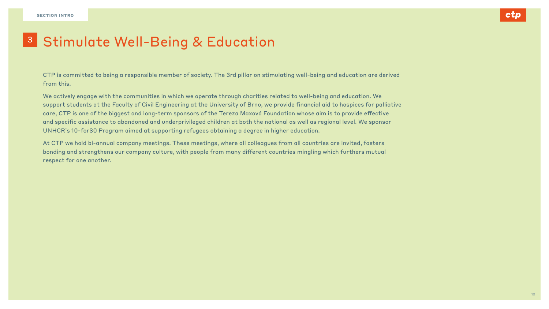CTP is committed to being a responsible member of society. The 3rd pillar on stimulating well-being and education are derived from this.

We actively engage with the communities in which we operate through charities related to well-being and education. We support students at the Faculty of Civil Engineering at the University of Brno, we provide financial aid to hospices for palliative care, CTP is one of the biggest and long-term sponsors of the Tereza Maxová Foundation whose aim is to provide effective and specific assistance to abandoned and underprivileged children at both the national as well as regional level. We sponsor UNHCR's 10-for30 Program aimed at supporting refugees obtaining a degree in higher education.

At CTP we hold bi-annual company meetings. These meetings, where all colleagues from all countries are invited, fosters bonding and strengthens our company culture, with people from many different countries mingling which furthers mutual respect for one another.



10

## <sup>3</sup> Stimulate Well-Being & Education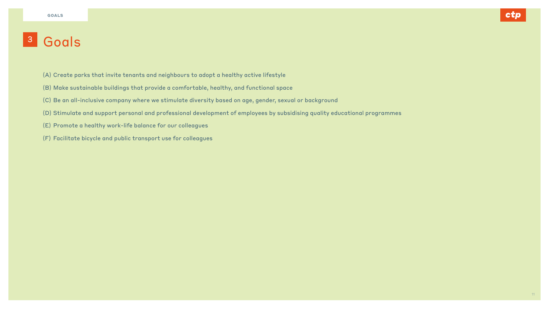- (A) Create parks that invite tenants and neighbours to adopt a healthy active lifestyle
- (B) Make sustainable buildings that provide a comfortable, healthy, and functional space
- (C) Be an all-inclusive company where we stimulate diversity based on age, gender, sexual or background
- (D) Stimulate and support personal and professional development of employees by subsidising quality educational programmes
- (E) Promote a healthy work-life balance for our colleagues
- (F) Facilitate bicycle and public transport use for colleagues



### <sup>3</sup> Goals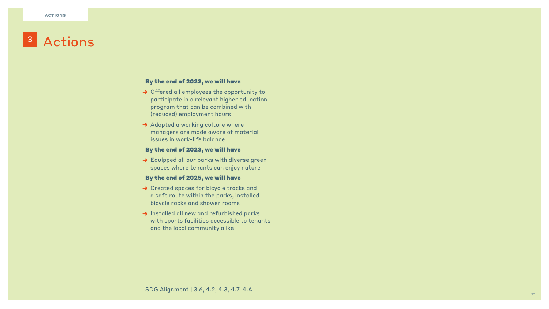### By the end of 2022, we will have

- → Offered all employees the opportunity to participate in a relevant higher education program that can be combined with (reduced) employment hours
- **→ Adopted a working culture where** managers are made aware of material issues in work-life balance

**→ Equipped all our parks with diverse green** spaces where tenants can enjoy nature

### By the end of 2023, we will have

- **→ Created spaces for bicycle tracks and** a safe route within the parks, installed bicycle racks and shower rooms
- → Installed all new and refurbished parks with sports facilities accessible to tenants and the local community alike

### By the end of 2025, we will have

## Actions 3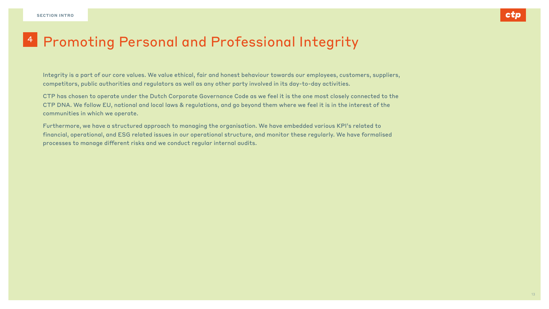Integrity is a part of our core values. We value ethical, fair and honest behaviour towards our employees, customers, suppliers, competitors, public authorities and regulators as well as any other party involved in its day-to-day activities.

CTP has chosen to operate under the Dutch Corporate Governance Code as we feel it is the one most closely connected to the CTP DNA. We follow EU, national and local laws & regulations, and go beyond them where we feel it is in the interest of the communities in which we operate.

Furthermore, we have a structured approach to managing the organisation. We have embedded various KPI's related to financial, operational, and ESG related issues in our operational structure, and monitor these regularly. We have formalised processes to manage different risks and we conduct regular internal audits.



## 4 Promoting Personal and Professional Integrity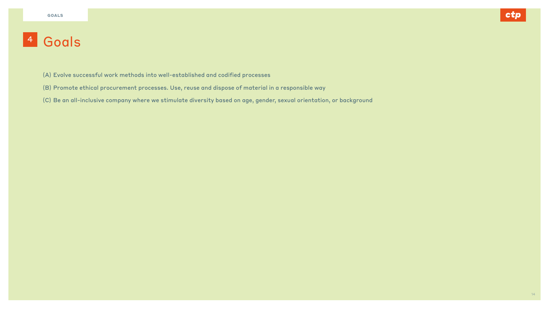- (A) Evolve successful work methods into well-established and codified processes
- (B) Promote ethical procurement processes. Use, reuse and dispose of material in a responsible way
- (C) Be an all-inclusive company where we stimulate diversity based on age, gender, sexual orientation, or background



### <sup>4</sup> Goals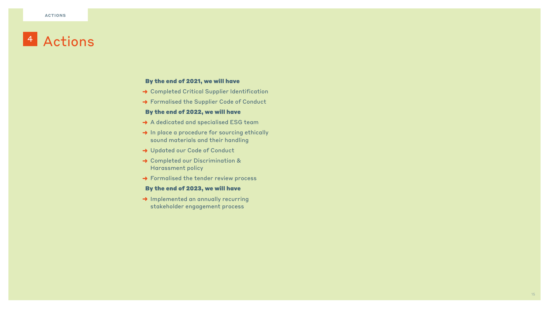### By the end of 2021, we will have

- **→ Completed Critical Supplier Identification**
- → Formalised the Supplier Code of Conduct

### By the end of 2022, we will have

- **→** A dedicated and specialised ESG team
- → In place a procedure for sourcing ethically sound materials and their handling
- → Updated our Code of Conduct
- **→ Completed our Discrimination &** Harassment policy
- → Formalised the tender review process

**→ Implemented an annually recurring** stakeholder engagement process

### By the end of 2023, we will have

## 4 Actions